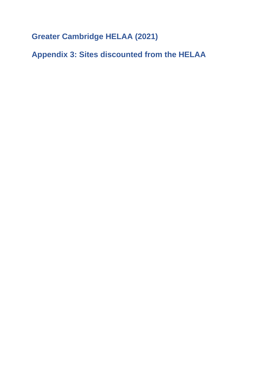**Greater Cambridge HELAA (2021)**

**Appendix 3: Sites discounted from the HELAA**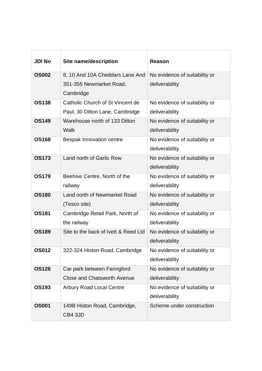| <b>JDI No</b> | <b>Site name/description</b>         | <b>Reason</b>                 |
|---------------|--------------------------------------|-------------------------------|
| <b>OS002</b>  | 8, 10 And 10A Cheddars Lane And      | No evidence of suitability or |
|               | 351-355 Newmarket Road,              | deliverability                |
|               | Cambridge                            |                               |
| <b>OS138</b>  | Catholic Church of St Vincent de     | No evidence of suitability or |
|               | Paul, 30 Ditton Lane, Cambridge      | deliverability                |
| <b>OS149</b>  | Warehouse north of 133 Ditton        | No evidence of suitability or |
|               | Walk                                 | deliverability                |
| <b>OS168</b>  | <b>Bespak Innovation centre</b>      | No evidence of suitability or |
|               |                                      | deliverability                |
| <b>OS173</b>  | Land north of Garlic Row             | No evidence of suitability or |
|               |                                      | deliverability                |
| <b>OS179</b>  | Beehive Centre, North of the         | No evidence of suitability or |
|               | railway                              | deliverability                |
| <b>OS180</b>  | Land north of Newmarket Road         | No evidence of suitability or |
|               | (Tesco site)                         | deliverability                |
| <b>OS181</b>  | Cambridge Retail Park, North of      | No evidence of suitability or |
|               | the railway                          | deliverability                |
| <b>OS189</b>  | Site to the back of Ivett & Reed Ltd | No evidence of suitability or |
|               |                                      | deliverability                |
| <b>OS012</b>  | 322-324 Histon Road, Cambridge       | No evidence of suitability or |
|               |                                      | deliverability                |
| <b>OS126</b>  | Car park between Faringford          | No evidence of suitability or |
|               | <b>Close and Chatsworth Avenue</b>   | deliverability                |
| <b>OS193</b>  | <b>Arbury Road Local Centre</b>      | No evidence of suitability or |
|               |                                      | deliverability                |
| <b>OS001</b>  | 149B Histon Road, Cambridge,         | Scheme under construction     |
|               | CB4 3JD                              |                               |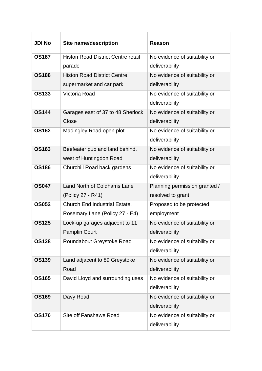| <b>JDI No</b> | <b>Site name/description</b>              | <b>Reason</b>                 |
|---------------|-------------------------------------------|-------------------------------|
| <b>OS187</b>  | <b>Histon Road District Centre retail</b> | No evidence of suitability or |
|               | parade                                    | deliverability                |
| <b>OS188</b>  | <b>Histon Road District Centre</b>        | No evidence of suitability or |
|               | supermarket and car park                  | deliverability                |
| <b>OS133</b>  | Victoria Road                             | No evidence of suitability or |
|               |                                           | deliverability                |
| <b>OS144</b>  | Garages east of 37 to 48 Sherlock         | No evidence of suitability or |
|               | Close                                     | deliverability                |
| <b>OS162</b>  | Madingley Road open plot                  | No evidence of suitability or |
|               |                                           | deliverability                |
| <b>OS163</b>  | Beefeater pub and land behind,            | No evidence of suitability or |
|               | west of Huntingdon Road                   | deliverability                |
| <b>OS186</b>  | Churchill Road back gardens               | No evidence of suitability or |
|               |                                           | deliverability                |
| <b>OS047</b>  | Land North of Coldhams Lane               | Planning permission granted / |
|               | (Policy 27 - R41)                         | resolved to grant             |
| <b>OS052</b>  | <b>Church End Industrial Estate,</b>      | Proposed to be protected      |
|               | Rosemary Lane (Policy 27 - E4)            | employment                    |
| <b>OS125</b>  | Lock-up garages adjacent to 11            | No evidence of suitability or |
|               | <b>Pamplin Court</b>                      | deliverability                |
| <b>OS128</b>  | Roundabout Greystoke Road                 | No evidence of suitability or |
|               |                                           | deliverability                |
| <b>OS139</b>  | Land adjacent to 89 Greystoke             | No evidence of suitability or |
|               | Road                                      | deliverability                |
| <b>OS165</b>  | David Lloyd and surrounding uses          | No evidence of suitability or |
|               |                                           | deliverability                |
| <b>OS169</b>  | Davy Road                                 | No evidence of suitability or |
|               |                                           | deliverability                |
| <b>OS170</b>  | Site off Fanshawe Road                    | No evidence of suitability or |
|               |                                           | deliverability                |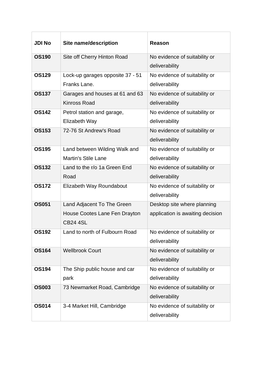| <b>JDI No</b> | <b>Site name/description</b>                                                   | Reason                                                          |
|---------------|--------------------------------------------------------------------------------|-----------------------------------------------------------------|
| <b>OS190</b>  | Site off Cherry Hinton Road                                                    | No evidence of suitability or<br>deliverability                 |
| <b>OS129</b>  | Lock-up garages opposite 37 - 51<br>Franks Lane.                               | No evidence of suitability or<br>deliverability                 |
| <b>OS137</b>  | Garages and houses at 61 and 63<br><b>Kinross Road</b>                         | No evidence of suitability or<br>deliverability                 |
| <b>OS142</b>  | Petrol station and garage,<br>Elizabeth Way                                    | No evidence of suitability or<br>deliverability                 |
| <b>OS153</b>  | 72-76 St Andrew's Road                                                         | No evidence of suitability or<br>deliverability                 |
| <b>OS195</b>  | Land between Wilding Walk and<br><b>Martin's Stile Lane</b>                    | No evidence of suitability or<br>deliverability                 |
| <b>OS132</b>  | Land to the r/o 1a Green End<br>Road                                           | No evidence of suitability or<br>deliverability                 |
| <b>OS172</b>  | Elizabeth Way Roundabout                                                       | No evidence of suitability or<br>deliverability                 |
| <b>OS051</b>  | Land Adjacent To The Green<br>House Cootes Lane Fen Drayton<br><b>CB24 4SL</b> | Desktop site where planning<br>application is awaiting decision |
| <b>OS192</b>  | Land to north of Fulbourn Road                                                 | No evidence of suitability or<br>deliverability                 |
| <b>OS164</b>  | <b>Wellbrook Court</b>                                                         | No evidence of suitability or<br>deliverability                 |
| <b>OS194</b>  | The Ship public house and car<br>park                                          | No evidence of suitability or<br>deliverability                 |
| <b>OS003</b>  | 73 Newmarket Road, Cambridge                                                   | No evidence of suitability or<br>deliverability                 |
| <b>OS014</b>  | 3-4 Market Hill, Cambridge                                                     | No evidence of suitability or<br>deliverability                 |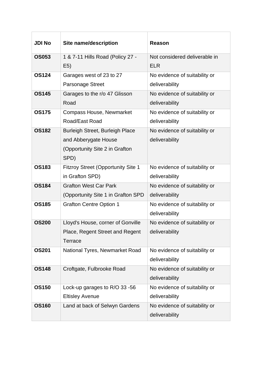| <b>JDI No</b> | <b>Site name/description</b>              | Reason                        |
|---------------|-------------------------------------------|-------------------------------|
| <b>OS053</b>  | 1 & 7-11 Hills Road (Policy 27 -          | Not considered deliverable in |
|               | E5)                                       | <b>ELR</b>                    |
| <b>OS124</b>  | Garages west of 23 to 27                  | No evidence of suitability or |
|               | <b>Parsonage Street</b>                   | deliverability                |
| <b>OS145</b>  | Garages to the r/o 47 Glisson             | No evidence of suitability or |
|               | Road                                      | deliverability                |
| <b>OS175</b>  | <b>Compass House, Newmarket</b>           | No evidence of suitability or |
|               | Road/East Road                            | deliverability                |
| <b>OS182</b>  | <b>Burleigh Street, Burleigh Place</b>    | No evidence of suitability or |
|               | and Abberygate House                      | deliverability                |
|               | (Opportunity Site 2 in Grafton            |                               |
|               | SPD)                                      |                               |
| <b>OS183</b>  | <b>Fitzroy Street (Opportunity Site 1</b> | No evidence of suitability or |
|               | in Grafton SPD)                           | deliverability                |
| <b>OS184</b>  | <b>Grafton West Car Park</b>              | No evidence of suitability or |
|               | (Opportunity Site 1 in Grafton SPD        | deliverability                |
| <b>OS185</b>  | <b>Grafton Centre Option 1</b>            | No evidence of suitability or |
|               |                                           | deliverability                |
| <b>OS200</b>  | Lloyd's House, corner of Gonville         | No evidence of suitability or |
|               | Place, Regent Street and Regent           | deliverability                |
|               | <b>Terrace</b>                            |                               |
| <b>OS201</b>  | National Tyres, Newmarket Road            | No evidence of suitability or |
|               |                                           | deliverability                |
| <b>OS148</b>  | Croftgate, Fulbrooke Road                 | No evidence of suitability or |
|               |                                           | deliverability                |
| <b>OS150</b>  | Lock-up garages to R/O 33 -56             | No evidence of suitability or |
|               | <b>Eltisley Avenue</b>                    | deliverability                |
| <b>OS160</b>  | Land at back of Selwyn Gardens            | No evidence of suitability or |
|               |                                           | deliverability                |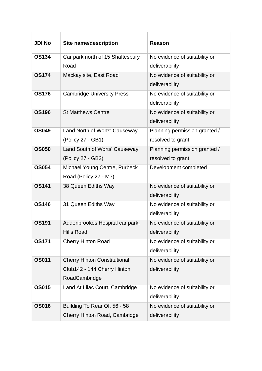| <b>JDI No</b> | <b>Site name/description</b>                                                        | Reason                                             |
|---------------|-------------------------------------------------------------------------------------|----------------------------------------------------|
| <b>OS134</b>  | Car park north of 15 Shaftesbury<br>Road                                            | No evidence of suitability or<br>deliverability    |
| <b>OS174</b>  | Mackay site, East Road                                                              | No evidence of suitability or<br>deliverability    |
| <b>OS176</b>  | <b>Cambridge University Press</b>                                                   | No evidence of suitability or<br>deliverability    |
| <b>OS196</b>  | <b>St Matthews Centre</b>                                                           | No evidence of suitability or<br>deliverability    |
| <b>OS049</b>  | Land North of Worts' Causeway<br>(Policy 27 - GB1)                                  | Planning permission granted /<br>resolved to grant |
| <b>OS050</b>  | <b>Land South of Worts' Causeway</b><br>(Policy 27 - GB2)                           | Planning permission granted /<br>resolved to grant |
| <b>OS054</b>  | Michael Young Centre, Purbeck<br>Road (Policy 27 - M3)                              | Development completed                              |
| <b>OS141</b>  | 38 Queen Ediths Way                                                                 | No evidence of suitability or<br>deliverability    |
| <b>OS146</b>  | 31 Queen Ediths Way                                                                 | No evidence of suitability or<br>deliverability    |
| <b>OS191</b>  | Addenbrookes Hospital car park,<br><b>Hills Road</b>                                | No evidence of suitability or<br>deliverability    |
| <b>OS171</b>  | <b>Cherry Hinton Road</b>                                                           | No evidence of suitability or<br>deliverability    |
| <b>OS011</b>  | <b>Cherry Hinton Constitutional</b><br>Club142 - 144 Cherry Hinton<br>RoadCambridge | No evidence of suitability or<br>deliverability    |
| <b>OS015</b>  | Land At Lilac Court, Cambridge                                                      | No evidence of suitability or<br>deliverability    |
| <b>OS016</b>  | Building To Rear Of, 56 - 58<br>Cherry Hinton Road, Cambridge                       | No evidence of suitability or<br>deliverability    |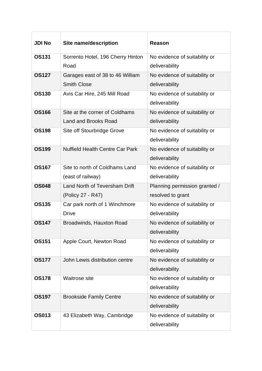| <b>JDI No</b> | <b>Site name/description</b>           | <b>Reason</b>                 |
|---------------|----------------------------------------|-------------------------------|
| <b>OS131</b>  | Sorrento Hotel, 196 Cherry Hinton      | No evidence of suitability or |
|               | Road                                   | deliverability                |
| <b>OS127</b>  | Garages east of 38 to 46 William       | No evidence of suitability or |
|               | <b>Smith Close</b>                     | deliverability                |
| <b>OS130</b>  | Avis Car Hire, 245 Mill Road           | No evidence of suitability or |
|               |                                        | deliverability                |
| <b>OS166</b>  | Site at the corner of Coldhams         | No evidence of suitability or |
|               | Land and Brooks Road                   | deliverability                |
| <b>OS198</b>  | Site off Stourbridge Grove             | No evidence of suitability or |
|               |                                        | deliverability                |
| <b>OS199</b>  | <b>Nuffield Health Centre Car Park</b> | No evidence of suitability or |
|               |                                        | deliverability                |
| <b>OS167</b>  | Site to north of Coldhams Land         | No evidence of suitability or |
|               | (east of railway)                      | deliverability                |
| <b>OS048</b>  | Land North of Teversham Drift          | Planning permission granted / |
|               | (Policy 27 - R47)                      | resolved to grant             |
| <b>OS135</b>  | Car park north of 1 Winchmore          | No evidence of suitability or |
|               | <b>Drive</b>                           | deliverability                |
| <b>OS147</b>  | <b>Broadwinds, Hauxton Road</b>        | No evidence of suitability or |
|               |                                        | deliverability                |
| <b>OS151</b>  | Apple Court, Newton Road               | No evidence of suitability or |
|               |                                        | deliverability                |
| <b>OS177</b>  | John Lewis distribution centre         | No evidence of suitability or |
|               |                                        | deliverability                |
| <b>OS178</b>  | Waitrose site                          | No evidence of suitability or |
|               |                                        | deliverability                |
| <b>OS197</b>  | <b>Brookside Family Centre</b>         | No evidence of suitability or |
|               |                                        | deliverability                |
| <b>OS013</b>  | 43 Elizabeth Way, Cambridge            | No evidence of suitability or |
|               |                                        | deliverability                |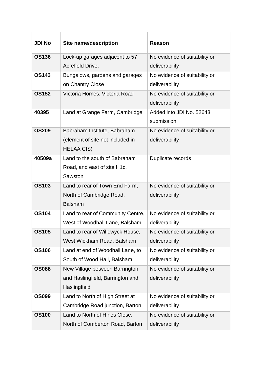| <b>JDI No</b> | <b>Site name/description</b>      | <b>Reason</b>                 |
|---------------|-----------------------------------|-------------------------------|
| <b>OS136</b>  | Lock-up garages adjacent to 57    | No evidence of suitability or |
|               | Acrefield Drive.                  | deliverability                |
| <b>OS143</b>  | Bungalows, gardens and garages    | No evidence of suitability or |
|               | on Chantry Close                  | deliverability                |
| <b>OS152</b>  | Victoria Homes, Victoria Road     | No evidence of suitability or |
|               |                                   | deliverability                |
| 40395         | Land at Grange Farm, Cambridge    | Added into JDI No. 52643      |
|               |                                   | submission                    |
| <b>OS209</b>  | Babraham Institute, Babraham      | No evidence of suitability or |
|               | (element of site not included in  | deliverability                |
|               | <b>HELAA CfS)</b>                 |                               |
| 40509a        | Land to the south of Babraham     | Duplicate records             |
|               | Road, and east of site H1c,       |                               |
|               | Sawston                           |                               |
| <b>OS103</b>  | Land to rear of Town End Farm,    | No evidence of suitability or |
|               | North of Cambridge Road,          | deliverability                |
|               | <b>Balsham</b>                    |                               |
| <b>OS104</b>  | Land to rear of Community Centre, | No evidence of suitability or |
|               | West of Woodhall Lane, Balsham    | deliverability                |
| <b>OS105</b>  | Land to rear of Willowyck House,  | No evidence of suitability or |
|               | West Wickham Road, Balsham        | deliverability                |
| <b>OS106</b>  | Land at end of Woodhall Lane, to  | No evidence of suitability or |
|               | South of Wood Hall, Balsham       | deliverability                |
| <b>OS088</b>  | New Village between Barrington    | No evidence of suitability or |
|               | and Haslingfield, Barrington and  | deliverability                |
|               | Haslingfield                      |                               |
| <b>OS099</b>  | Land to North of High Street at   | No evidence of suitability or |
|               | Cambridge Road junction, Barton   | deliverability                |
| <b>OS100</b>  | Land to North of Hines Close,     | No evidence of suitability or |
|               | North of Comberton Road, Barton   | deliverability                |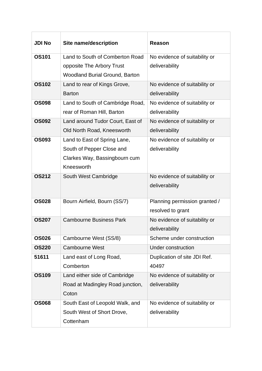| <b>JDI No</b> | <b>Site name/description</b>          | <b>Reason</b>                 |
|---------------|---------------------------------------|-------------------------------|
| <b>OS101</b>  | Land to South of Comberton Road       | No evidence of suitability or |
|               | opposite The Arbory Trust             | deliverability                |
|               | <b>Woodland Burial Ground, Barton</b> |                               |
| <b>OS102</b>  | Land to rear of Kings Grove,          | No evidence of suitability or |
|               | <b>Barton</b>                         | deliverability                |
| <b>OS098</b>  | Land to South of Cambridge Road,      | No evidence of suitability or |
|               | rear of Roman Hill, Barton            | deliverability                |
| <b>OS092</b>  | Land around Tudor Court, East of      | No evidence of suitability or |
|               | Old North Road, Kneesworth            | deliverability                |
| <b>OS093</b>  | Land to East of Spring Lane,          | No evidence of suitability or |
|               | South of Pepper Close and             | deliverability                |
|               | Clarkes Way, Bassingbourn cum         |                               |
|               | Kneesworth                            |                               |
| <b>OS212</b>  | South West Cambridge                  | No evidence of suitability or |
|               |                                       | deliverability                |
| <b>OS028</b>  | Bourn Airfield, Bourn (SS/7)          | Planning permission granted / |
|               |                                       | resolved to grant             |
| <b>OS207</b>  | <b>Cambourne Business Park</b>        | No evidence of suitability or |
|               |                                       | deliverability                |
| <b>OS026</b>  | Cambourne West (SS/8)                 | Scheme under construction     |
| <b>OS220</b>  | <b>Cambourne West</b>                 | Under construction            |
| 51611         | Land east of Long Road,               | Duplication of site JDI Ref.  |
|               | Comberton                             | 40497                         |
| <b>OS109</b>  | Land either side of Cambridge         | No evidence of suitability or |
|               | Road at Madingley Road junction,      | deliverability                |
|               | Coton                                 |                               |
| <b>OS068</b>  | South East of Leopold Walk, and       | No evidence of suitability or |
|               | South West of Short Drove,            | deliverability                |
|               | Cottenham                             |                               |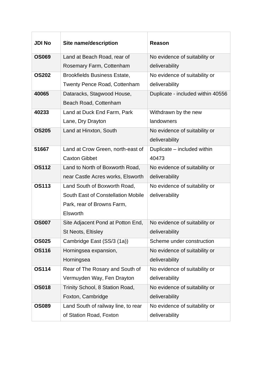| <b>JDI No</b> | <b>Site name/description</b>        | <b>Reason</b>                     |
|---------------|-------------------------------------|-----------------------------------|
| <b>OS069</b>  | Land at Beach Road, rear of         | No evidence of suitability or     |
|               | Rosemary Farm, Cottenham            | deliverability                    |
| <b>OS202</b>  | <b>Brookfields Business Estate,</b> | No evidence of suitability or     |
|               | <b>Twenty Pence Road, Cottenham</b> | deliverability                    |
| 40065         | Dataracks, Stagwood House,          | Duplicate - included within 40556 |
|               | Beach Road, Cottenham               |                                   |
| 40233         | Land at Duck End Farm, Park         | Withdrawn by the new              |
|               | Lane, Dry Drayton                   | landowners                        |
| <b>OS205</b>  | Land at Hinxton, South              | No evidence of suitability or     |
|               |                                     | deliverability                    |
| 51667         | Land at Crow Green, north-east of   | Duplicate - included within       |
|               | <b>Caxton Gibbet</b>                | 40473                             |
| <b>OS112</b>  | Land to North of Boxworth Road,     | No evidence of suitability or     |
|               | near Castle Acres works, Elsworth   | deliverability                    |
| <b>OS113</b>  | Land South of Boxworth Road,        | No evidence of suitability or     |
|               | South East of Constellation Mobile  | deliverability                    |
|               | Park, rear of Browns Farm,          |                                   |
|               | Elsworth                            |                                   |
| <b>OS007</b>  | Site Adjacent Pond at Potton End,   | No evidence of suitability or     |
|               | <b>St Neots, Eltisley</b>           | deliverability                    |
| <b>OS025</b>  | Cambridge East (SS/3 (1a))          | Scheme under construction         |
| <b>OS116</b>  | Horningsea expansion,               | No evidence of suitability or     |
|               | Horningsea                          | deliverability                    |
| <b>OS114</b>  | Rear of The Rosary and South of     | No evidence of suitability or     |
|               | Vermuyden Way, Fen Drayton          | deliverability                    |
| <b>OS018</b>  | Trinity School, 8 Station Road,     | No evidence of suitability or     |
|               | Foxton, Cambridge                   | deliverability                    |
| <b>OS089</b>  | Land South of railway line, to rear | No evidence of suitability or     |
|               | of Station Road, Foxton             | deliverability                    |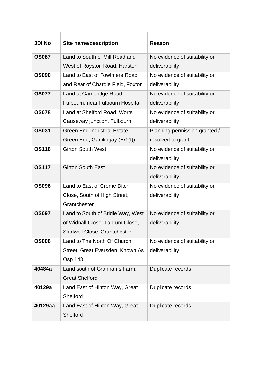| <b>JDI No</b> | <b>Site name/description</b>      | Reason                        |
|---------------|-----------------------------------|-------------------------------|
| <b>OS087</b>  | Land to South of Mill Road and    | No evidence of suitability or |
|               | West of Royston Road, Harston     | deliverability                |
| <b>OS090</b>  | Land to East of Fowlmere Road     | No evidence of suitability or |
|               | and Rear of Chardle Field, Foxton | deliverability                |
| <b>OS077</b>  | Land at Cambridge Road            | No evidence of suitability or |
|               | Fulbourn, near Fulbourn Hospital  | deliverability                |
| <b>OS078</b>  | Land at Shelford Road, Worts      | No evidence of suitability or |
|               | Causeway junction, Fulbourn       | deliverability                |
| <b>OS031</b>  | Green End Industrial Estate,      | Planning permission granted / |
|               | Green End, Gamlingay (H/1(f))     | resolved to grant             |
| <b>OS118</b>  | <b>Girton South West</b>          | No evidence of suitability or |
|               |                                   | deliverability                |
| <b>OS117</b>  | <b>Girton South East</b>          | No evidence of suitability or |
|               |                                   | deliverability                |
| <b>OS096</b>  | Land to East of Crome Ditch       | No evidence of suitability or |
|               | Close, South of High Street,      | deliverability                |
|               | Grantchester                      |                               |
| <b>OS097</b>  | Land to South of Bridle Way, West | No evidence of suitability or |
|               | of Widnall Close, Tabrum Close,   | deliverability                |
|               | Sladwell Close, Grantchester      |                               |
| <b>OS008</b>  | Land to The North Of Church       | No evidence of suitability or |
|               | Street, Great Eversden, Known As  | deliverability                |
|               | <b>Osp 148</b>                    |                               |
| 40484a        | Land south of Granhams Farm,      | Duplicate records             |
|               | <b>Great Shelford</b>             |                               |
| 40129a        | Land East of Hinton Way, Great    | Duplicate records             |
|               | Shelford                          |                               |
| 40129aa       | Land East of Hinton Way, Great    | Duplicate records             |
|               | Shelford                          |                               |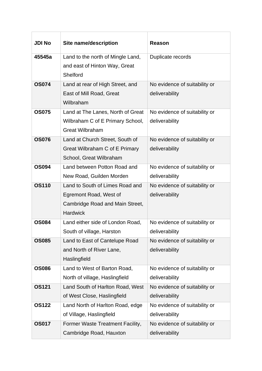| <b>JDI No</b> | <b>Site name/description</b>                                       | Reason                        |
|---------------|--------------------------------------------------------------------|-------------------------------|
| 45545a        | Land to the north of Mingle Land,<br>and east of Hinton Way, Great | Duplicate records             |
|               | Shelford                                                           |                               |
| <b>OS074</b>  | Land at rear of High Street, and                                   | No evidence of suitability or |
|               | East of Mill Road, Great                                           | deliverability                |
|               | Wilbraham                                                          |                               |
| <b>OS075</b>  | Land at The Lanes, North of Great                                  | No evidence of suitability or |
|               | Wilbraham C of E Primary School,                                   | deliverability                |
|               | <b>Great Wilbraham</b>                                             |                               |
| <b>OS076</b>  | Land at Church Street, South of                                    | No evidence of suitability or |
|               | Great Wilbraham C of E Primary                                     | deliverability                |
|               | School, Great Wilbraham                                            |                               |
| <b>OS094</b>  | Land between Potton Road and                                       | No evidence of suitability or |
| <b>OS110</b>  | New Road, Guilden Morden                                           | deliverability                |
|               | Land to South of Limes Road and                                    | No evidence of suitability or |
|               | Egremont Road, West of<br>Cambridge Road and Main Street,          | deliverability                |
|               | <b>Hardwick</b>                                                    |                               |
| <b>OS084</b>  | Land either side of London Road,                                   | No evidence of suitability or |
|               | South of village, Harston                                          | deliverability                |
| <b>OS085</b>  | Land to East of Cantelupe Road                                     | No evidence of suitability or |
|               | and North of River Lane,                                           | deliverability                |
|               | Haslingfield                                                       |                               |
| <b>OS086</b>  | Land to West of Barton Road,                                       | No evidence of suitability or |
|               | North of village, Haslingfield                                     | deliverability                |
| <b>OS121</b>  | Land South of Harlton Road, West                                   | No evidence of suitability or |
|               | of West Close, Haslingfield                                        | deliverability                |
| <b>OS122</b>  | Land North of Harlton Road, edge                                   | No evidence of suitability or |
|               | of Village, Haslingfield                                           | deliverability                |
| <b>OS017</b>  | Former Waste Treatment Facility,                                   | No evidence of suitability or |
|               | Cambridge Road, Hauxton                                            | deliverability                |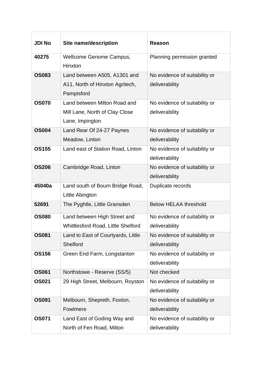| <b>JDI No</b> | <b>Site name/description</b>                                                      | Reason                                          |
|---------------|-----------------------------------------------------------------------------------|-------------------------------------------------|
| 40275         | Wellcome Genome Campus,<br>Hinxton                                                | Planning permission granted                     |
| <b>OS083</b>  | Land between A505, A1301 and<br>A11, North of Hinxton Agritech,<br>Pampisford     | No evidence of suitability or<br>deliverability |
| <b>OS070</b>  | Land between Milton Road and<br>Mill Lane, North of Clay Close<br>Lane, Impington | No evidence of suitability or<br>deliverability |
| <b>OS004</b>  | Land Rear Of 24-27 Paynes<br>Meadow, Linton                                       | No evidence of suitability or<br>deliverability |
| <b>OS155</b>  | Land east of Station Road, Linton                                                 | No evidence of suitability or<br>deliverability |
| <b>OS206</b>  | Cambridge Road, Linton                                                            | No evidence of suitability or<br>deliverability |
| 45040a        | Land south of Bourn Bridge Road,<br>Little Abington                               | Duplicate records                               |
| 52691         | The Pyghtle, Little Gransden                                                      | <b>Below HELAA threshold</b>                    |
| <b>OS080</b>  | Land between High Street and<br><b>Whittlesford Road, Little Shelford</b>         | No evidence of suitability or<br>deliverability |
| <b>OS081</b>  | Land to East of Courtyards, Little<br>Shelford                                    | No evidence of suitability or<br>deliverability |
| <b>OS156</b>  | Green End Farm, Longstanton                                                       | No evidence of suitability or<br>deliverability |
| <b>OS061</b>  | Northstowe - Reserve (SS/5)                                                       | Not checked                                     |
| <b>OS021</b>  | 29 High Street, Melbourn, Royston                                                 | No evidence of suitability or<br>deliverability |
| <b>OS091</b>  | Melbourn, Shepreth, Foxton,<br>Fowlmere                                           | No evidence of suitability or<br>deliverability |
| <b>OS071</b>  | Land East of Goding Way and<br>North of Fen Road, Milton                          | No evidence of suitability or<br>deliverability |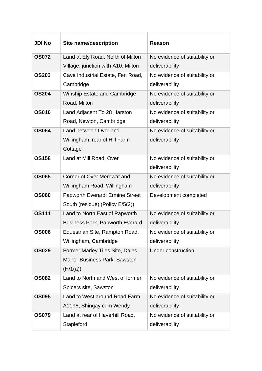| <b>JDI No</b> | <b>Site name/description</b>           | <b>Reason</b>                 |
|---------------|----------------------------------------|-------------------------------|
| <b>OS072</b>  | Land at Ely Road, North of Milton      | No evidence of suitability or |
|               | Village, junction with A10, Milton     | deliverability                |
| <b>OS203</b>  | Cave Industrial Estate, Fen Road,      | No evidence of suitability or |
|               | Cambridge                              | deliverability                |
| <b>OS204</b>  | <b>Winship Estate and Cambridge</b>    | No evidence of suitability or |
|               | Road, Milton                           | deliverability                |
| <b>OS010</b>  | Land Adjacent To 28 Harston            | No evidence of suitability or |
|               | Road, Newton, Cambridge                | deliverability                |
| <b>OS064</b>  | Land between Over and                  | No evidence of suitability or |
|               | Willingham, rear of Hill Farm          | deliverability                |
|               | Cottage                                |                               |
| <b>OS158</b>  | Land at Mill Road, Over                | No evidence of suitability or |
|               |                                        | deliverability                |
| <b>OS065</b>  | Corner of Over Merewat and             | No evidence of suitability or |
|               | Willingham Road, Willingham            | deliverability                |
| <b>OS060</b>  | <b>Papworth Everard: Ermine Street</b> | Development completed         |
|               | South (residue) (Policy E/5(2))        |                               |
| <b>OS111</b>  | Land to North East of Papworth         | No evidence of suitability or |
|               | <b>Business Park, Papworth Everard</b> | deliverability                |
| <b>OS006</b>  | Equestrian Site, Rampton Road,         | No evidence of suitability or |
|               | Willingham, Cambridge                  | deliverability                |
| <b>OS029</b>  | <b>Former Marley Tiles Site, Dales</b> | <b>Under construction</b>     |
|               | <b>Manor Business Park, Sawston</b>    |                               |
|               | (H/1(a))                               |                               |
| <b>OS082</b>  | Land to North and West of former       | No evidence of suitability or |
|               | Spicers site, Sawston                  | deliverability                |
| <b>OS095</b>  | Land to West around Road Farm,         | No evidence of suitability or |
|               | A1198, Shingay cum Wendy               | deliverability                |
| <b>OS079</b>  | Land at rear of Haverhill Road,        | No evidence of suitability or |
|               | Stapleford                             | deliverability                |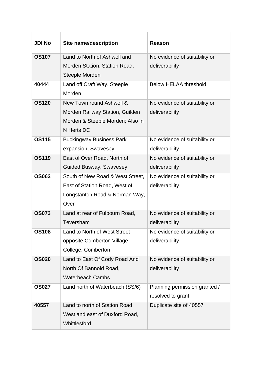| <b>JDI No</b> | <b>Site name/description</b>     | <b>Reason</b>                 |
|---------------|----------------------------------|-------------------------------|
| <b>OS107</b>  | Land to North of Ashwell and     | No evidence of suitability or |
|               | Morden Station, Station Road,    | deliverability                |
|               | Steeple Morden                   |                               |
| 40444         | Land off Craft Way, Steeple      | <b>Below HELAA threshold</b>  |
|               | Morden                           |                               |
| <b>OS120</b>  | New Town round Ashwell &         | No evidence of suitability or |
|               | Morden Railway Station, Guilden  | deliverability                |
|               | Morden & Steeple Morden; Also in |                               |
|               | N Herts DC                       |                               |
| <b>OS115</b>  | <b>Buckingway Business Park</b>  | No evidence of suitability or |
|               | expansion, Swavesey              | deliverability                |
| <b>OS119</b>  | East of Over Road, North of      | No evidence of suitability or |
|               | <b>Guided Busway, Swavesey</b>   | deliverability                |
| <b>OS063</b>  | South of New Road & West Street, | No evidence of suitability or |
|               | East of Station Road, West of    | deliverability                |
|               | Longstanton Road & Norman Way,   |                               |
|               | Over                             |                               |
| <b>OS073</b>  | Land at rear of Fulbourn Road,   | No evidence of suitability or |
|               | Teversham                        | deliverability                |
| <b>OS108</b>  | Land to North of West Street     | No evidence of suitability or |
|               | opposite Comberton Village       | deliverability                |
|               | College, Comberton               |                               |
| <b>OS020</b>  | Land to East Of Cody Road And    | No evidence of suitability or |
|               | North Of Bannold Road,           | deliverability                |
|               | <b>Waterbeach Cambs</b>          |                               |
| <b>OS027</b>  | Land north of Waterbeach (SS/6)  | Planning permission granted / |
|               |                                  | resolved to grant             |
| 40557         | Land to north of Station Road    | Duplicate site of 40557       |
|               | West and east of Duxford Road,   |                               |
|               | Whittlesford                     |                               |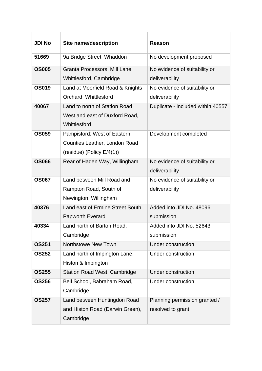| <b>JDI No</b> | <b>Site name/description</b>                                                                 | <b>Reason</b>                                      |
|---------------|----------------------------------------------------------------------------------------------|----------------------------------------------------|
| 51669         | 9a Bridge Street, Whaddon                                                                    | No development proposed                            |
| <b>OS005</b>  | Granta Processors, Mill Lane,<br>Whittlesford, Cambridge                                     | No evidence of suitability or<br>deliverability    |
| <b>OS019</b>  | Land at Moorfield Road & Knights<br>Orchard, Whittlesford                                    | No evidence of suitability or<br>deliverability    |
| 40067         | Land to north of Station Road<br>West and east of Duxford Road,<br>Whittlesford              | Duplicate - included within 40557                  |
| <b>OS059</b>  | Pampisford: West of Eastern<br>Counties Leather, London Road<br>(residue) (Policy $E/4(1)$ ) | Development completed                              |
| <b>OS066</b>  | Rear of Haden Way, Willingham                                                                | No evidence of suitability or<br>deliverability    |
| <b>OS067</b>  | Land between Mill Road and<br>Rampton Road, South of<br>Newington, Willingham                | No evidence of suitability or<br>deliverability    |
| 40376         | Land east of Ermine Street South,<br><b>Papworth Everard</b>                                 | Added into JDI No. 48096<br>submission             |
| 40334         | Land north of Barton Road,<br>Cambridge                                                      | Added into JDI No. 52643<br>submission             |
| <b>OS251</b>  | <b>Northstowe New Town</b>                                                                   | <b>Under construction</b>                          |
| <b>OS252</b>  | Land north of Impington Lane,<br>Histon & Impington                                          | <b>Under construction</b>                          |
| <b>OS255</b>  | <b>Station Road West, Cambridge</b>                                                          | <b>Under construction</b>                          |
| <b>OS256</b>  | Bell School, Babraham Road,<br>Cambridge                                                     | Under construction                                 |
| <b>OS257</b>  | Land between Huntingdon Road<br>and Histon Road (Darwin Green),<br>Cambridge                 | Planning permission granted /<br>resolved to grant |